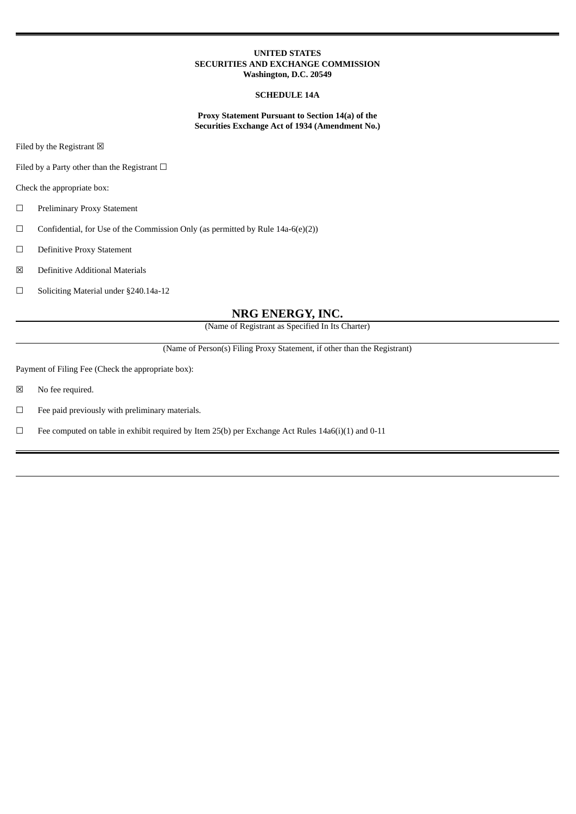#### **UNITED STATES SECURITIES AND EXCHANGE COMMISSION Washington, D.C. 20549**

#### **SCHEDULE 14A**

**Proxy Statement Pursuant to Section 14(a) of the Securities Exchange Act of 1934 (Amendment No.)**

Filed by the Registrant  $\boxtimes$ 

Filed by a Party other than the Registrant  $□$ 

Check the appropriate box:

☐ Preliminary Proxy Statement

 $\Box$  Confidential, for Use of the Commission Only (as permitted by Rule 14a-6(e)(2))

☐ Definitive Proxy Statement

☒ Definitive Additional Materials

☐ Soliciting Material under §240.14a-12

#### **NRG ENERGY, INC.**

(Name of Registrant as Specified In Its Charter)

(Name of Person(s) Filing Proxy Statement, if other than the Registrant)

Payment of Filing Fee (Check the appropriate box):

☒ No fee required.

☐ Fee paid previously with preliminary materials.

 $\Box$  Fee computed on table in exhibit required by Item 25(b) per Exchange Act Rules 14a6(i)(1) and 0-11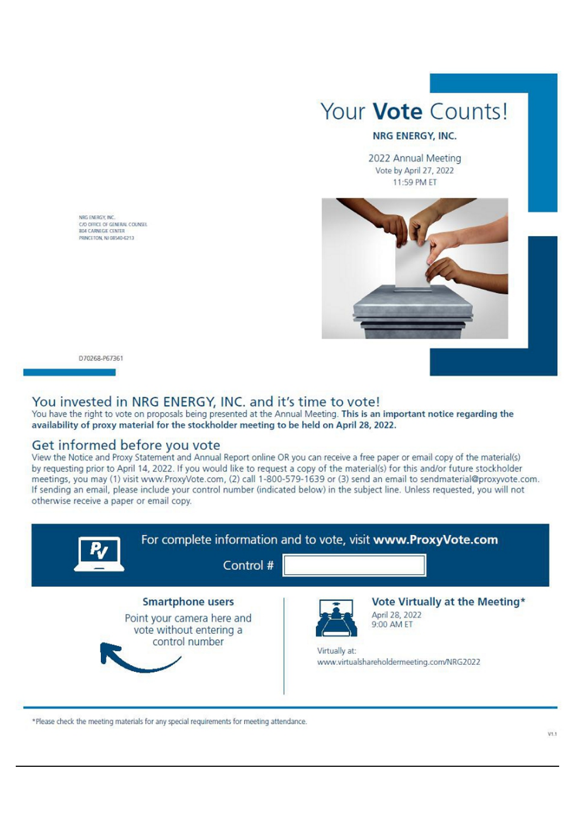# Your **Vote** Counts!

### NRG ENERGY, INC.

2022 Annual Meeting Vote by April 27, 2022 11:59 PM ET



C/O OFFICE OF GENERAL COUNSEL PRINTETON MI GRANADES

NRG ENERGY, INC.

D70268-P67361

# You invested in NRG ENERGY, INC. and it's time to vote!

You have the right to vote on proposals being presented at the Annual Meeting. This is an important notice regarding the availability of proxy material for the stockholder meeting to be held on April 28, 2022.

## Get informed before you vote

View the Notice and Proxy Statement and Annual Report online OR you can receive a free paper or email copy of the material(s) by requesting prior to April 14, 2022. If you would like to request a copy of the material(s) for this and/or future stockholder meetings, you may (1) visit www.ProxyVote.com, (2) call 1-800-579-1639 or (3) send an email to sendmaterial@proxyvote.com. If sending an email, please include your control number (indicated below) in the subject line. Unless requested, you will not otherwise receive a paper or email copy.



\*Please check the meeting materials for any special requirements for meeting attendance.